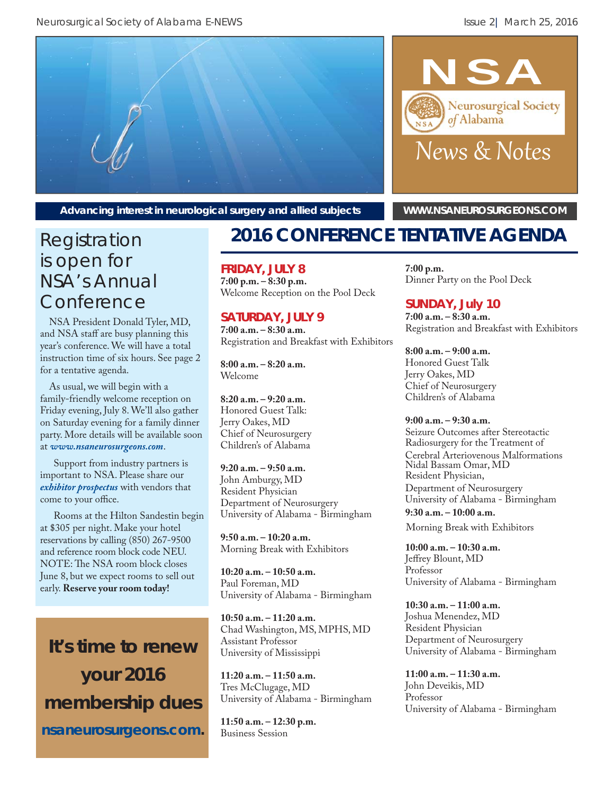



Advancing interest in neurological surgery and allied subjects **[WWW.NSANEUROSURGEONS.COM](http://www.nsaneurosurgeons.com/)** 

# is open for NSA's Annual **Conference**

NSA President Donald Tyler, MD, and NSA staff are busy planning this year's conference. We will have a total instruction time of six hours. See page 2 for a tentative agenda.

As usual, we will begin with a family-friendly welcome reception on Friday evening, July 8. We'll also gather on Saturday evening for a family dinner party. More details will be available soon at *www.nsaneurosurgeons.com*.

Support from industry partners is important to NSA. Please share our *[exhibitor prospectus](http://www.nsaneurosurgeons.com/wp/wp-content/uploads/2016/02/2016-NSA-VendorProspectus.pdf)* with vendors that come to your office.

Rooms at the Hilton Sandestin begin at \$305 per night. Make your hotel reservations by calling (850) 267-9500 and reference room block code NEU. NOTE: The NSA room block closes June 8, but we expect rooms to sell out early. **Reserve your room today!**

**It's time to renew your 2016 membership dues** *[nsaneurosurgeons.com](http://www.nsaneurosurgeons.com/members/)***.**

# Registration **2016 CONFERENCE TENTATIVE AGENDA**

### **FRIDAY, JULY 8**

**7:00 p.m. – 8:30 p.m.**  Welcome Reception on the Pool Deck

## **SATURDAY, JULY 9**

**7:00 a.m. – 8:30 a.m.**  Registration and Breakfast with Exhibitors

**8:00 a.m. – 8:20 a.m.**  Welcome

**8:20 a.m. – 9:20 a.m.**  Honored Guest Talk: Jerry Oakes, MD Chief of Neurosurgery Children's of Alabama

**9:20 a.m. – 9:50 a.m.**  John Amburgy, MD Resident Physician Department of Neurosurgery University of Alabama - Birmingham

**9:50 a.m. – 10:20 a.m.**  Morning Break with Exhibitors

**10:20 a.m. – 10:50 a.m.** Paul Foreman, MD University of Alabama - Birmingham

**10:50 a.m. – 11:20 a.m.**  Chad Washington, MS, MPHS, MD Assistant Professor University of Mississippi

**11:20 a.m. – 11:50 a.m.**  Tres McClugage, MD University of Alabama - Birmingham

**11:50 a.m. – 12:30 p.m.**  Business Session

**7:00 p.m.**  Dinner Party on the Pool Deck

## **SUNDAY, July 10**

**7:00 a.m. – 8:30 a.m.**  Registration and Breakfast with Exhibitors

**8:00 a.m. – 9:00 a.m.**  Honored Guest Talk Jerry Oakes, MD Chief of Neurosurgery Children's of Alabama

### **9:00 a.m. – 9:30 a.m.**

Seizure Outcomes after Stereotactic Radiosurgery for the Treatment of Cerebral Arteriovenous Malformations Nidal Bassam Omar, MD Resident Physician, Department of Neurosurgery University of Alabama - Birmingham

**9:30 a.m. – 10:00 a.m.**  Morning Break with Exhibitors

**10:00 a.m. – 10:30 a.m.**  Jeffrey Blount, MD Professor University of Alabama - Birmingham

**10:30 a.m. – 11:00 a.m.**  Joshua Menendez, MD Resident Physician Department of Neurosurgery University of Alabama - Birmingham

**11:00 a.m. – 11:30 a.m.**  John Deveikis, MD Professor University of Alabama - Birmingham